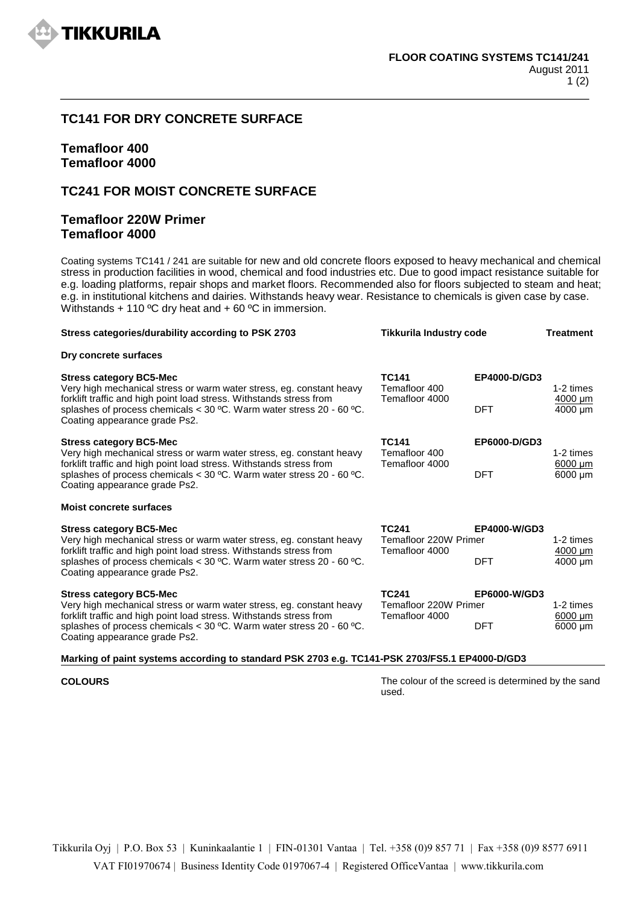

# **TC141 FOR DRY CONCRETE SURFACE**

# **Temafloor 400 Temafloor 4000**

# **TC241 FOR MOIST CONCRETE SURFACE**

## **Temafloor 220W Primer Temafloor 4000**

Coating systems TC141 / 241 are suitable for new and old concrete floors exposed to heavy mechanical and chemical stress in production facilities in wood, chemical and food industries etc. Due to good impact resistance suitable for e.g. loading platforms, repair shops and market floors. Recommended also for floors subjected to steam and heat; e.g. in institutional kitchens and dairies. Withstands heavy wear. Resistance to chemicals is given case by case. Withstands + 110 °C dry heat and + 60 °C in immersion.

| Stress categories/durability according to PSK 2703                                                                                                                                                                                                                                                                                                 | <b>Tikkurila Industry code</b>                          |              | <b>Treatment</b>                          |
|----------------------------------------------------------------------------------------------------------------------------------------------------------------------------------------------------------------------------------------------------------------------------------------------------------------------------------------------------|---------------------------------------------------------|--------------|-------------------------------------------|
| Dry concrete surfaces                                                                                                                                                                                                                                                                                                                              |                                                         |              |                                           |
| <b>TC141</b><br><b>Stress category BC5-Mec</b><br>Temafloor 400<br>Very high mechanical stress or warm water stress, eg. constant heavy<br>forklift traffic and high point load stress. Withstands stress from<br>Temafloor 4000<br>splashes of process chemicals < $30^{\circ}$ C. Warm water stress 20 - 60 °C.<br>Coating appearance grade Ps2. | EP4000-D/GD3                                            | 1-2 times    |                                           |
|                                                                                                                                                                                                                                                                                                                                                    |                                                         | <b>DFT</b>   | $4000 \mu m$<br>4000 um                   |
| <b>Stress category BC5-Mec</b><br>Very high mechanical stress or warm water stress, eg. constant heavy                                                                                                                                                                                                                                             | <b>TC141</b><br>Temafloor 400<br>Temafloor 4000         | EP6000-D/GD3 | 1-2 times<br>$6000 \mu m$<br>$6000 \mu m$ |
| forklift traffic and high point load stress. Withstands stress from<br>splashes of process chemicals < $30^{\circ}$ C. Warm water stress 20 - 60 °C.<br>Coating appearance grade Ps2.                                                                                                                                                              |                                                         | <b>DFT</b>   |                                           |
| <b>Moist concrete surfaces</b>                                                                                                                                                                                                                                                                                                                     |                                                         |              |                                           |
| <b>TC241</b><br><b>Stress category BC5-Mec</b><br>Temafloor 220W Primer<br>Very high mechanical stress or warm water stress, eg. constant heavy<br>forklift traffic and high point load stress. Withstands stress from<br>Temafloor 4000                                                                                                           |                                                         | EP4000-W/GD3 | 1-2 times<br>$\frac{4000}{\mu m}$         |
| splashes of process chemicals < $30^{\circ}$ C. Warm water stress 20 - 60 °C.<br>Coating appearance grade Ps2.                                                                                                                                                                                                                                     |                                                         | <b>DFT</b>   | 4000 um                                   |
| <b>Stress category BC5-Mec</b><br>Very high mechanical stress or warm water stress, eg. constant heavy<br>forklift traffic and high point load stress. Withstands stress from<br>splashes of process chemicals < $30^{\circ}$ C. Warm water stress 20 - 60 °C.<br>Coating appearance grade Ps2.                                                    | <b>TC241</b><br>Temafloor 220W Primer<br>Temafloor 4000 | EP6000-W/GD3 | 1-2 times<br>6000 um                      |
|                                                                                                                                                                                                                                                                                                                                                    |                                                         | <b>DFT</b>   | 6000 um                                   |

### **Marking of paint systems according to standard PSK 2703 e.g. TC141-PSK 2703/FS5.1 EP4000-D/GD3**

**COLOURS** COLOURS **The colour of the screed is determined by the sand** used.